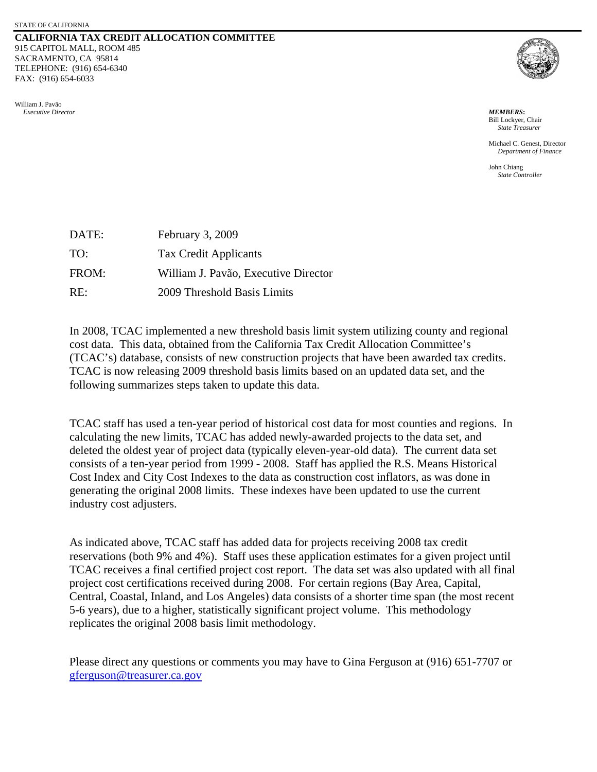## **CALIFORNIA TAX CREDIT ALLOCATION COMMITTEE**  915 CAPITOL MALL, ROOM 485 SACRAMENTO, CA 95814 TELEPHONE: (916) 654-6340 FAX: (916) 654-6033





Bill Lockyer, Chair *State Treasurer* 

 Michael C. Genest, Director *Department of Finance* 

John Chiang *State Controller* 

| DATE: | February 3, 2009                     |
|-------|--------------------------------------|
| TO:   | Tax Credit Applicants                |
| FROM: | William J. Pavão, Executive Director |
| RE:   | 2009 Threshold Basis Limits          |

In 2008, TCAC implemented a new threshold basis limit system utilizing county and regional cost data. This data, obtained from the California Tax Credit Allocation Committee's (TCAC's) database, consists of new construction projects that have been awarded tax credits. TCAC is now releasing 2009 threshold basis limits based on an updated data set, and the following summarizes steps taken to update this data.

TCAC staff has used a ten-year period of historical cost data for most counties and regions. In calculating the new limits, TCAC has added newly-awarded projects to the data set, and deleted the oldest year of project data (typically eleven-year-old data). The current data set consists of a ten-year period from 1999 - 2008. Staff has applied the R.S. Means Historical Cost Index and City Cost Indexes to the data as construction cost inflators, as was done in generating the original 2008 limits. These indexes have been updated to use the current industry cost adjusters.

As indicated above, TCAC staff has added data for projects receiving 2008 tax credit reservations (both 9% and 4%). Staff uses these application estimates for a given project until TCAC receives a final certified project cost report. The data set was also updated with all final project cost certifications received during 2008. For certain regions (Bay Area, Capital, Central, Coastal, Inland, and Los Angeles) data consists of a shorter time span (the most recent 5-6 years), due to a higher, statistically significant project volume. This methodology replicates the original 2008 basis limit methodology.

 [gferguson@treasurer.ca.gov](mailto:gferguson@treasurer.ca.gov) Please direct any questions or comments you may have to Gina Ferguson at (916) 651-7707 or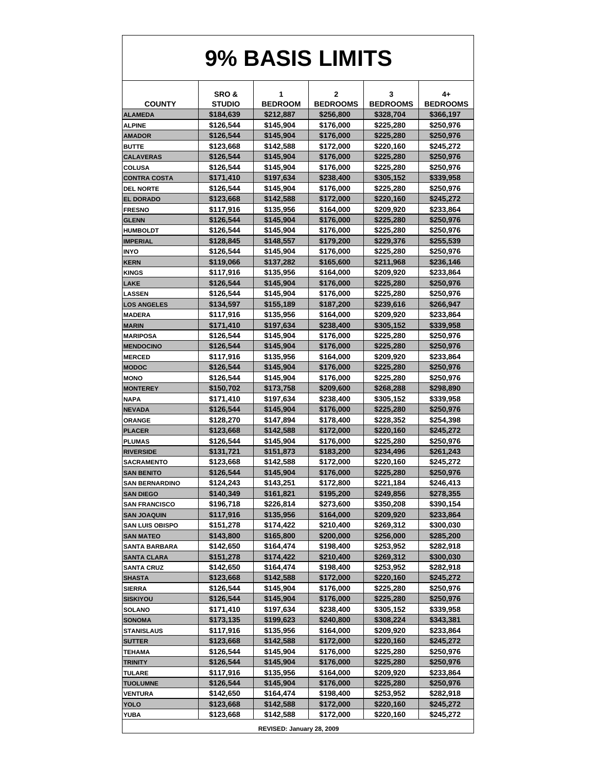## **9% BASIS LIMITS**

|                                            | SRO &                     | 1                      | 2                      | 3                      | 4+                     |  |  |  |
|--------------------------------------------|---------------------------|------------------------|------------------------|------------------------|------------------------|--|--|--|
| <b>COUNTY</b>                              | <b>STUDIO</b>             | <b>BEDROOM</b>         | <b>BEDROOMS</b>        | <b>BEDROOMS</b>        | <b>BEDROOMS</b>        |  |  |  |
| <b>ALAMEDA</b>                             | \$184,639                 | \$212,887              | \$256,800              | \$328,704              | \$366,197              |  |  |  |
| <b>ALPINE</b>                              | \$126,544                 | \$145,904              | \$176,000              | \$225,280              | \$250,976              |  |  |  |
| <b>AMADOR</b>                              | \$126,544                 | \$145,904              | \$176,000              | \$225,280              | \$250,976              |  |  |  |
| <b>BUTTE</b>                               | \$123,668                 | \$142,588              | \$172,000              | \$220,160              | \$245,272              |  |  |  |
| <b>CALAVERAS</b>                           | \$126,544                 | \$145,904              | \$176,000              | \$225,280              | \$250,976              |  |  |  |
| <b>COLUSA</b>                              | \$126,544                 | \$145,904              | \$176,000              | \$225,280              | \$250,976              |  |  |  |
| <b>CONTRA COSTA</b>                        | \$171,410                 | \$197,634              | \$238,400              | \$305,152              | \$339,958              |  |  |  |
| <b>DEL NORTE</b>                           | \$126,544                 | \$145,904              | \$176,000              | \$225,280              | \$250,976              |  |  |  |
| <b>EL DORADO</b>                           | \$123,668                 | \$142,588              | \$172,000              | \$220,160              | \$245,272              |  |  |  |
| <b>FRESNO</b>                              | \$117,916                 | \$135,956              | \$164,000              | \$209,920              | \$233,864              |  |  |  |
| <b>GLENN</b>                               | \$126,544                 | \$145,904              | \$176,000              | \$225,280              | \$250,976              |  |  |  |
| <b>HUMBOLDT</b>                            | \$126,544                 | \$145,904              | \$176,000              | \$225,280              | \$250,976              |  |  |  |
| <b>IMPERIAL</b>                            | \$128,845                 | \$148,557              | \$179,200              | \$229,376              | \$255,539              |  |  |  |
| <b>INYO</b>                                | \$126,544                 | \$145,904              | \$176,000              | \$225,280              | \$250,976              |  |  |  |
| <b>KERN</b>                                | \$119,066                 | \$137,282              | \$165,600              | \$211,968              | \$236,146              |  |  |  |
| <b>KINGS</b>                               | \$117,916                 | \$135,956              | \$164,000              | \$209,920              | \$233,864              |  |  |  |
| <b>LAKE</b>                                | \$126,544                 | \$145,904              | \$176,000              | \$225,280              | \$250,976              |  |  |  |
| <b>LASSEN</b>                              | \$126,544                 | \$145,904              | \$176,000              | \$225,280              | \$250,976              |  |  |  |
| <b>LOS ANGELES</b>                         | \$134,597                 | \$155,189              | \$187,200              | \$239,616              | \$266,947              |  |  |  |
| <b>MADERA</b>                              | \$117,916                 | \$135,956              | \$164,000              | \$209,920              | \$233,864              |  |  |  |
| <b>MARIN</b>                               | \$171,410                 | \$197,634              | \$238,400              | \$305,152              | \$339,958              |  |  |  |
| <b>MARIPOSA</b>                            | \$126,544                 | \$145,904              | \$176,000              | \$225,280              | \$250,976              |  |  |  |
| <b>MENDOCINO</b>                           | \$126,544                 | \$145,904              | \$176,000              | \$225,280              | \$250,976              |  |  |  |
| <b>MERCED</b>                              | \$117,916                 | \$135,956              | \$164,000              | \$209,920              | \$233,864              |  |  |  |
| <b>MODOC</b>                               | \$126,544                 | \$145,904              | \$176,000              | \$225,280              | \$250,976              |  |  |  |
| <b>MONO</b>                                | \$126,544                 | \$145,904              | \$176,000              | \$225,280              | \$250,976              |  |  |  |
| <b>MONTEREY</b>                            | \$150,702                 | \$173,758              | \$209,600              | \$268,288              | \$298,890              |  |  |  |
| <b>NAPA</b>                                | \$171,410                 | \$197,634              | \$238,400              | \$305,152              | \$339,958              |  |  |  |
| <b>NEVADA</b>                              | \$126,544                 | \$145,904              | \$176,000              | \$225,280              | \$250,976              |  |  |  |
| <b>ORANGE</b>                              | \$128,270                 | \$147,894              | \$178,400              | \$228,352              | \$254,398              |  |  |  |
| <b>PLACER</b>                              | \$123,668                 | \$142,588              | \$172,000              | \$220,160              | \$245,272              |  |  |  |
| <b>PLUMAS</b>                              | \$126,544                 | \$145,904              | \$176,000              | \$225,280              | \$250,976              |  |  |  |
| <b>RIVERSIDE</b>                           | \$131,721                 | \$151,873              | \$183,200              | \$234,496              | \$261,243              |  |  |  |
| <b>SACRAMENTO</b>                          | \$123,668                 | \$142,588              | \$172,000              | \$220,160              | \$245,272              |  |  |  |
| <b>SAN BENITO</b>                          | \$126,544                 | \$145,904              | \$176,000              | \$225,280              | \$250,976              |  |  |  |
| <b>SAN BERNARDINO</b>                      | \$124,243                 | \$143,251              | \$172,800              | \$221,184              | \$246,413              |  |  |  |
| <b>SAN DIEGO</b>                           | \$140,349                 | \$161,821              | \$195,200              | \$249,856              | \$278,355              |  |  |  |
| <b>SAN FRANCISCO</b>                       | \$196,718                 | \$226,814              | \$273,600              | \$350,208              | \$390,154              |  |  |  |
| <b>SAN JOAQUIN</b>                         | \$117,916                 | \$135,956              | \$164,000              | \$209,920              | \$233,864              |  |  |  |
| <b>SAN LUIS OBISPO</b><br><b>SAN MATEO</b> | \$151,278<br>\$143,800    | \$174,422<br>\$165,800 | \$210,400<br>\$200,000 | \$269,312<br>\$256,000 | \$300,030<br>\$285,200 |  |  |  |
| <b>SANTA BARBARA</b>                       | \$142,650                 | \$164,474              | \$198,400              | \$253,952              | \$282,918              |  |  |  |
| <b>SANTA CLARA</b>                         | \$151,278                 | \$174,422              | \$210,400              | \$269,312              | \$300,030              |  |  |  |
| <b>SANTA CRUZ</b>                          | \$142,650                 | \$164,474              | \$198,400              | \$253,952              | \$282,918              |  |  |  |
| <b>SHASTA</b>                              | \$123,668                 | \$142,588              | \$172,000              | \$220,160              | \$245,272              |  |  |  |
| <b>SIERRA</b>                              | \$126,544                 | \$145,904              | \$176,000              | \$225,280              | \$250,976              |  |  |  |
| <b>SISKIYOU</b>                            | \$126,544                 | \$145,904              | \$176,000              | \$225,280              | \$250,976              |  |  |  |
| <b>SOLANO</b>                              | \$171,410                 | \$197,634              | \$238,400              | \$305,152              | \$339,958              |  |  |  |
| <b>SONOMA</b>                              | \$173,135                 | \$199,623              | \$240,800              | \$308,224              | \$343,381              |  |  |  |
| <b>STANISLAUS</b>                          | \$117,916                 | \$135,956              | \$164,000              | \$209,920              | \$233,864              |  |  |  |
| <b>SUTTER</b>                              | \$123,668                 | \$142,588              | \$172,000              | \$220,160              | \$245,272              |  |  |  |
| <b>TEHAMA</b>                              | \$126,544                 | \$145,904              | \$176,000              | \$225,280              | \$250,976              |  |  |  |
| <b>TRINITY</b>                             | \$126,544                 | \$145,904              | \$176,000              | \$225,280              | \$250,976              |  |  |  |
| <b>TULARE</b>                              | \$117,916                 | \$135,956              | \$164,000              | \$209,920              | \$233,864              |  |  |  |
| <b>TUOLUMNE</b>                            | \$126,544                 | \$145,904              | \$176,000              | \$225,280              | \$250,976              |  |  |  |
| VENTURA                                    | \$142,650                 | \$164,474              | \$198,400              | \$253,952              | \$282,918              |  |  |  |
| <b>YOLO</b>                                | \$123,668                 | \$142,588              | \$172,000              | \$220,160              | \$245,272              |  |  |  |
| YUBA                                       | \$123,668                 | \$142,588              | \$172,000              | \$220,160              | \$245,272              |  |  |  |
|                                            | REVISED: January 28, 2009 |                        |                        |                        |                        |  |  |  |
|                                            |                           |                        |                        |                        |                        |  |  |  |